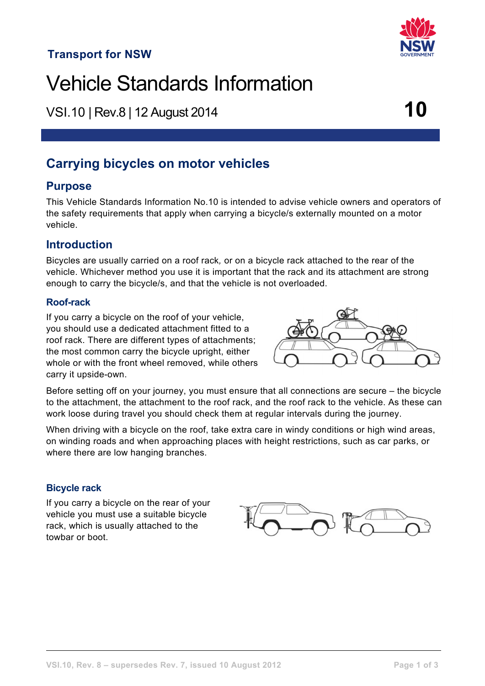## **Transport for NSW**

# Vehicle Standards Information

VSI.10 <sup>|</sup> Rev.8 | 12 August 2014 **10**

## **Carrying bicycles on motor vehicles**

## **Purpose**

This Vehicle Standards Information No.10 is intended to advise vehicle owners and operators of the safety requirements that apply when carrying a bicycle/s externally mounted on a motor vehicle.

## **Introduction**

Bicycles are usually carried on a roof rack*,* or on a bicycle rack attached to the rear of the vehicle. Whichever method you use it is important that the rack and its attachment are strong enough to carry the bicycle/s, and that the vehicle is not overloaded.

## **Roof-rack**

If you carry a bicycle on the roof of your vehicle, you should use a dedicated attachment fitted to a roof rack. There are different types of attachments; the most common carry the bicycle upright, either whole or with the front wheel removed, while others carry it upside-own.



Before setting off on your journey, you must ensure that all connections are secure – the bicycle to the attachment, the attachment to the roof rack, and the roof rack to the vehicle. As these can work loose during travel you should check them at regular intervals during the journey.

When driving with a bicycle on the roof, take extra care in windy conditions or high wind areas, on winding roads and when approaching places with height restrictions, such as car parks, or where there are low hanging branches.

## **Bicycle rack**

If you carry a bicycle on the rear of your vehicle you must use a suitable bicycle rack, which is usually attached to the towbar or boot.



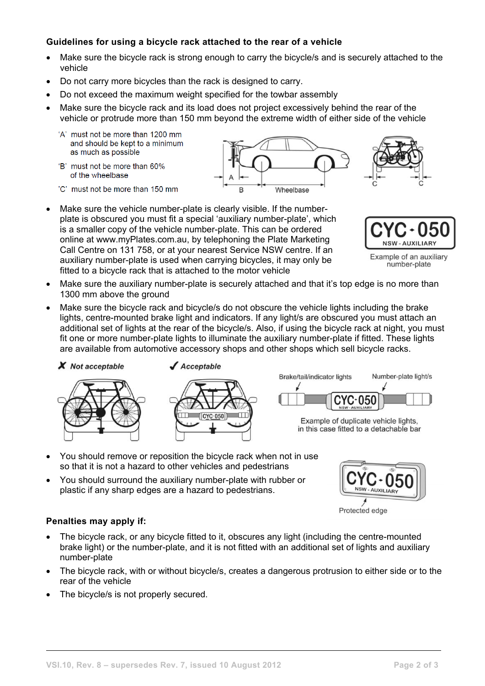## **Guidelines for using a bicycle rack attached to the rear of a vehicle**

- Make sure the bicycle rack is strong enough to carry the bicycle/s and is securely attached to the vehicle
- Do not carry more bicycles than the rack is designed to carry.
- Do not exceed the maximum weight specified for the towbar assembly
- Make sure the bicycle rack and its load does not project excessively behind the rear of the vehicle or protrude more than 150 mm beyond the extreme width of either side of the vehicle

B

Wheelbase

- 'A' must not be more than 1200 mm and should be kept to a minimum as much as possible
- 'B' must not be more than 60% of the wheelbase
- 'C' must not be more than 150 mm
- Make sure the vehicle number-plate is clearly visible. If the numberplate is obscured you must fit a special 'auxiliary number-plate', which is a smaller copy of the vehicle number-plate. This can be ordered online at www.myPlates.com.au, by telephoning the Plate Marketing Call Centre on 131 758, or at your nearest Service NSW centre. If an auxiliary number-plate is used when carrying bicycles, it may only be fitted to a bicycle rack that is attached to the motor vehicle
- **NSW-AUXILIARY**

Example of an auxiliary number-plate

- Make sure the auxiliary number-plate is securely attached and that it's top edge is no more than 1300 mm above the ground
- Make sure the bicycle rack and bicycle/s do not obscure the vehicle lights including the brake lights, centre-mounted brake light and indicators. If any light/s are obscured you must attach an additional set of lights at the rear of the bicycle/s. Also, if using the bicycle rack at night, you must fit one or more number-plate lights to illuminate the auxiliary number-plate if fitted. These lights are available from automotive accessory shops and other shops which sell bicycle racks.



Acceptable





Example of duplicate vehicle lights, in this case fitted to a detachable bar

- You should remove or reposition the bicycle rack when not in use so that it is not a hazard to other vehicles and pedestrians
- You should surround the auxiliary number-plate with rubber or plastic if any sharp edges are a hazard to pedestrians.



Protected edge

#### **Penalties may apply if:**

- The bicycle rack, or any bicycle fitted to it, obscures any light (including the centre-mounted brake light) or the number-plate, and it is not fitted with an additional set of lights and auxiliary number-plate
- The bicycle rack, with or without bicycle/s, creates a dangerous protrusion to either side or to the rear of the vehicle
- The bicycle/s is not properly secured.